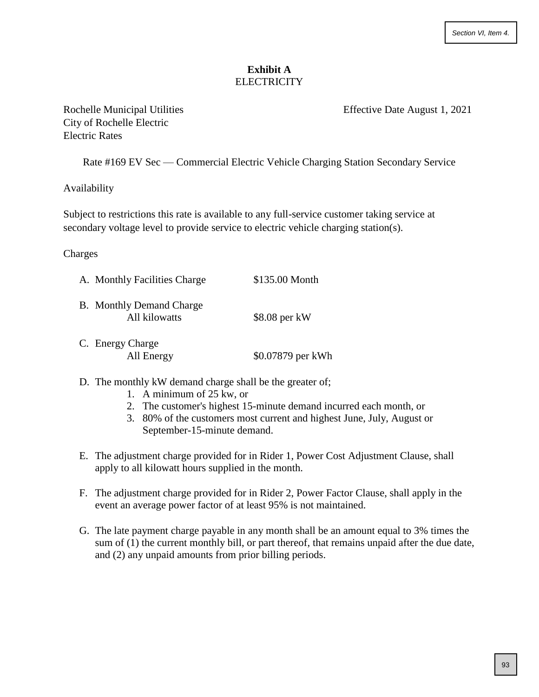## **Exhibit A ELECTRICITY**

City of Rochelle Electric Electric Rates

Rochelle Municipal Utilities **Effective Date August 1, 2021** 

Rate #169 EV Sec — Commercial Electric Vehicle Charging Station Secondary Service

## Availability

Subject to restrictions this rate is available to any full-service customer taking service at secondary voltage level to provide service to electric vehicle charging station(s).

Charges

| A. Monthly Facilities Charge                     | \$135.00 Month    |
|--------------------------------------------------|-------------------|
| <b>B.</b> Monthly Demand Charge<br>All kilowatts | \$8.08 per kW     |
| C. Energy Charge<br>All Energy                   | \$0.07879 per kWh |

- D. The monthly kW demand charge shall be the greater of;
	- 1. A minimum of 25 kw, or
	- 2. The customer's highest 15-minute demand incurred each month, or
	- 3. 80% of the customers most current and highest June, July, August or September-15-minute demand.
- E. The adjustment charge provided for in Rider 1, Power Cost Adjustment Clause, shall apply to all kilowatt hours supplied in the month.
- F. The adjustment charge provided for in Rider 2, Power Factor Clause, shall apply in the event an average power factor of at least 95% is not maintained.
- G. The late payment charge payable in any month shall be an amount equal to 3% times the sum of (1) the current monthly bill, or part thereof, that remains unpaid after the due date, and (2) any unpaid amounts from prior billing periods.